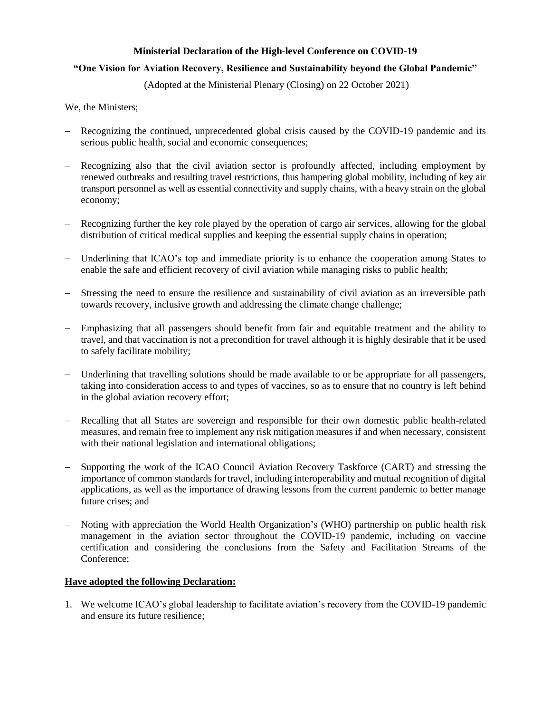## **Ministerial Declaration of the High-level Conference on COVID-19**

## **"One Vision for Aviation Recovery, Resilience and Sustainability beyond the Global Pandemic"**

(Adopted at the Ministerial Plenary (Closing) on 22 October 2021)

We, the Ministers;

- Recognizing the continued, unprecedented global crisis caused by the COVID-19 pandemic and its serious public health, social and economic consequences;
- Recognizing also that the civil aviation sector is profoundly affected, including employment by renewed outbreaks and resulting travel restrictions, thus hampering global mobility, including of key air transport personnel as well as essential connectivity and supply chains, with a heavy strain on the global economy;
- Recognizing further the key role played by the operation of cargo air services, allowing for the global distribution of critical medical supplies and keeping the essential supply chains in operation;
- Underlining that ICAO's top and immediate priority is to enhance the cooperation among States to enable the safe and efficient recovery of civil aviation while managing risks to public health;
- Stressing the need to ensure the resilience and sustainability of civil aviation as an irreversible path towards recovery, inclusive growth and addressing the climate change challenge;
- Emphasizing that all passengers should benefit from fair and equitable treatment and the ability to travel, and that vaccination is not a precondition for travel although it is highly desirable that it be used to safely facilitate mobility;
- Underlining that travelling solutions should be made available to or be appropriate for all passengers, taking into consideration access to and types of vaccines, so as to ensure that no country is left behind in the global aviation recovery effort;
- Recalling that all States are sovereign and responsible for their own domestic public health-related measures, and remain free to implement any risk mitigation measures if and when necessary, consistent with their national legislation and international obligations;
- Supporting the work of the ICAO Council Aviation Recovery Taskforce (CART) and stressing the importance of common standards for travel, including interoperability and mutual recognition of digital applications, as well as the importance of drawing lessons from the current pandemic to better manage future crises; and
- Noting with appreciation the World Health Organization's (WHO) partnership on public health risk management in the aviation sector throughout the COVID-19 pandemic, including on vaccine certification and considering the conclusions from the Safety and Facilitation Streams of the Conference;

## **Have adopted the following Declaration:**

1. We welcome ICAO's global leadership to facilitate aviation's recovery from the COVID-19 pandemic and ensure its future resilience;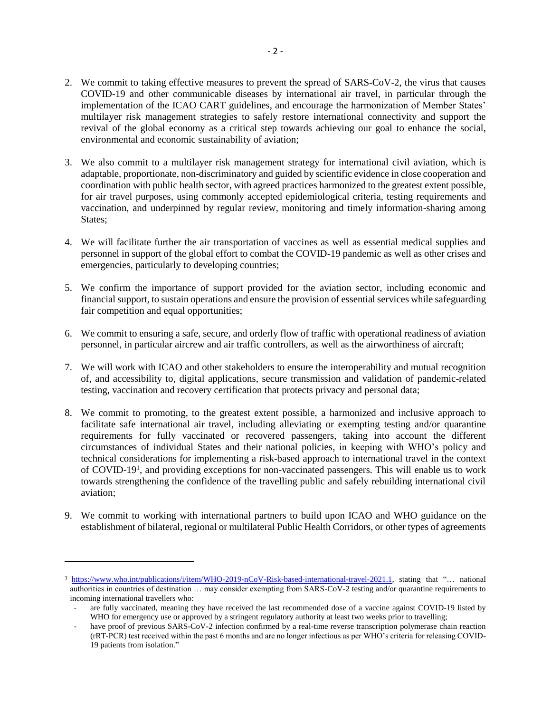- 2. We commit to taking effective measures to prevent the spread of SARS-CoV-2, the virus that causes COVID-19 and other communicable diseases by international air travel, in particular through the implementation of the ICAO CART guidelines, and encourage the harmonization of Member States' multilayer risk management strategies to safely restore international connectivity and support the revival of the global economy as a critical step towards achieving our goal to enhance the social, environmental and economic sustainability of aviation;
- 3. We also commit to a multilayer risk management strategy for international civil aviation, which is adaptable, proportionate, non-discriminatory and guided by scientific evidence in close cooperation and coordination with public health sector, with agreed practices harmonized to the greatest extent possible, for air travel purposes, using commonly accepted epidemiological criteria, testing requirements and vaccination, and underpinned by regular review, monitoring and timely information-sharing among States;
- 4. We will facilitate further the air transportation of vaccines as well as essential medical supplies and personnel in support of the global effort to combat the COVID-19 pandemic as well as other crises and emergencies, particularly to developing countries;
- 5. We confirm the importance of support provided for the aviation sector, including economic and financial support, to sustain operations and ensure the provision of essential services while safeguarding fair competition and equal opportunities;
- 6. We commit to ensuring a safe, secure, and orderly flow of traffic with operational readiness of aviation personnel, in particular aircrew and air traffic controllers, as well as the airworthiness of aircraft;
- 7. We will work with ICAO and other stakeholders to ensure the interoperability and mutual recognition of, and accessibility to, digital applications, secure transmission and validation of pandemic-related testing, vaccination and recovery certification that protects privacy and personal data;
- 8. We commit to promoting, to the greatest extent possible, a harmonized and inclusive approach to facilitate safe international air travel, including alleviating or exempting testing and/or quarantine requirements for fully vaccinated or recovered passengers, taking into account the different circumstances of individual States and their national policies, in keeping with WHO's policy and technical considerations for implementing a risk-based approach to international travel in the context of COVID-19<sup>1</sup>, and providing exceptions for non-vaccinated passengers. This will enable us to work towards strengthening the confidence of the travelling public and safely rebuilding international civil aviation;
- 9. We commit to working with international partners to build upon ICAO and WHO guidance on the establishment of bilateral, regional or multilateral Public Health Corridors, or other types of agreements

l

<sup>1</sup> [https://www.who.int/publications/i/item/WHO-2019-nCoV-Risk-based-international-travel-2021.1,](https://www.who.int/publications/i/item/WHO-2019-nCoV-Risk-based-international-travel-2021.1) stating that "… national authorities in countries of destination … may consider exempting from SARS-CoV-2 testing and/or quarantine requirements to incoming international travellers who:

are fully vaccinated, meaning they have received the last recommended dose of a vaccine against COVID-19 listed by WHO for emergency use or approved by a stringent regulatory authority at least two weeks prior to travelling;

have proof of previous SARS-CoV-2 infection confirmed by a real-time reverse transcription polymerase chain reaction (rRT-PCR) test received within the past 6 months and are no longer infectious as per WHO's criteria for releasing COVID-19 patients from isolation."